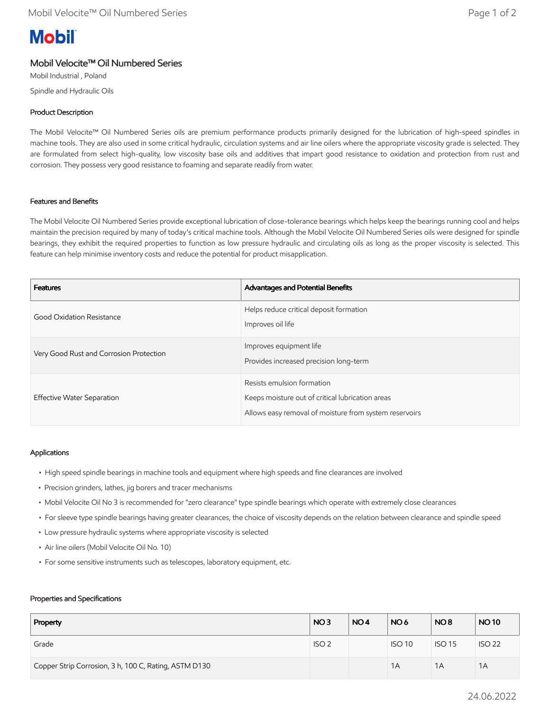# **Mobil**

# Mobil Velocite™ Oil Numbered Series

Mobil Industrial , Poland Spindle and Hydraulic Oils

## Product Description

The Mobil Velocite™ Oil Numbered Series oils are premium performance products primarily designed for the lubrication of high-speed spindles in machine tools. They are also used in some critical hydraulic, circulation systems and air line oilers where the appropriate viscosity grade is selected. They are formulated from select high-quality, low viscosity base oils and additives that impart good resistance to oxidation and protection from rust and corrosion. They possess very good resistance to foaming and separate readily from water.

### Features and Benefits

The Mobil Velocite Oil Numbered Series provide exceptional lubrication of close-tolerance bearings which helps keep the bearings running cool and helps maintain the precision required by many of today's critical machine tools. Although the Mobil Velocite Oil Numbered Series oils were designed for spindle bearings, they exhibit the required properties to function as low pressure hydraulic and circulating oils as long as the proper viscosity is selected. This feature can help minimise inventory costs and reduce the potential for product misapplication.

| <b>Features</b>                         | Advantages and Potential Benefits                                                                                                        |
|-----------------------------------------|------------------------------------------------------------------------------------------------------------------------------------------|
| Good Oxidation Resistance               | Helps reduce critical deposit formation<br>Improves oil life                                                                             |
| Very Good Rust and Corrosion Protection | Improves equipment life<br>Provides increased precision long-term                                                                        |
| Effective Water Separation              | Resists emulsion formation<br>Keeps moisture out of critical lubrication areas<br>Allows easy removal of moisture from system reservoirs |

### Applications

- High speed spindle bearings in machine tools and equipment where high speeds and fine clearances are involved
- Precision grinders, lathes, jig borers and tracer mechanisms
- Mobil Velocite Oil No 3 is recommended for "zero clearance" type spindle bearings which operate with extremely close clearances
- For sleeve type spindle bearings having greater clearances, the choice of viscosity depends on the relation between clearance and spindle speed
- Low pressure hydraulic systems where appropriate viscosity is selected
- Air line oilers (Mobil Velocite Oil No. 10)
- For some sensitive instruments such as telescopes, laboratory equipment, etc.

#### Properties and Specifications

| Property                                              | NO <sub>3</sub>  | NO <sub>4</sub> | NO <sub>6</sub> | NO <sub>8</sub> | <b>NO10</b>   |
|-------------------------------------------------------|------------------|-----------------|-----------------|-----------------|---------------|
| Grade                                                 | ISO <sub>2</sub> |                 | <b>ISO 10</b>   | <b>ISO 15</b>   | <b>ISO 22</b> |
| Copper Strip Corrosion, 3 h, 100 C, Rating, ASTM D130 |                  |                 | 1A              | 1A              | 1A            |